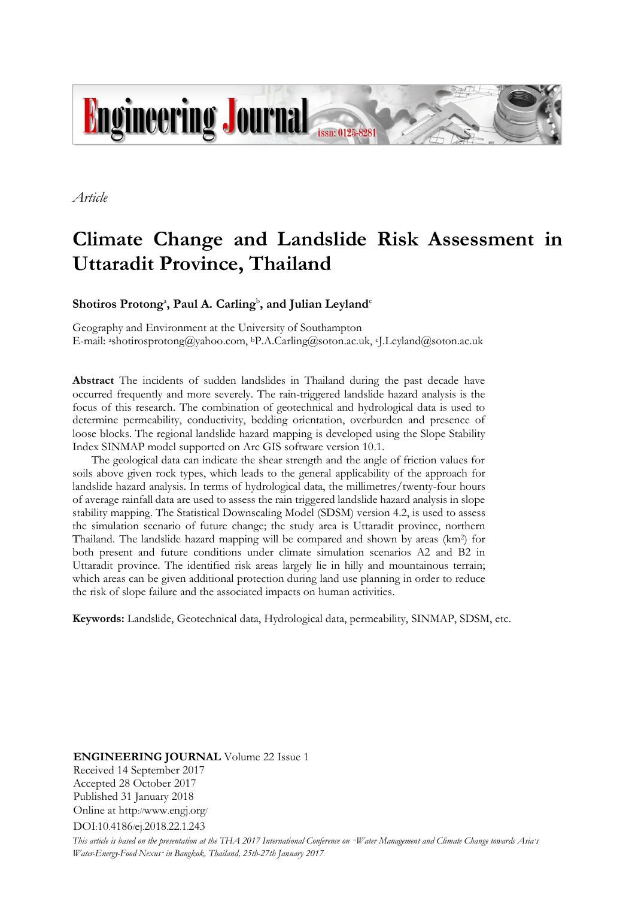

*Article*

# **Climate Change and Landslide Risk Assessment in Uttaradit Province, Thailand**

 $\mathbf{S}$ hotiros  $\mathbf{Protong}^{\mathbf{a}}, \mathbf{Paul\ A}$ .  $\mathbf{Carling}^{\mathbf{b}}, \mathbf{and}\ \mathbf{Julian\ Leyland}^{\mathbf{c}}$ 

Geography and Environment at the University of Southampton E-mail: ashotirosprotong@yahoo.com, bP.A.Carling@soton.ac.uk, cJ.Leyland@soton.ac.uk

**Abstract** The incidents of sudden landslides in Thailand during the past decade have occurred frequently and more severely. The rain-triggered landslide hazard analysis is the focus of this research. The combination of geotechnical and hydrological data is used to determine permeability, conductivity, bedding orientation, overburden and presence of loose blocks. The regional landslide hazard mapping is developed using the Slope Stability Index SINMAP model supported on Arc GIS software version 10.1.

The geological data can indicate the shear strength and the angle of friction values for soils above given rock types, which leads to the general applicability of the approach for landslide hazard analysis. In terms of hydrological data, the millimetres/twenty-four hours of average rainfall data are used to assess the rain triggered landslide hazard analysis in slope stability mapping. The Statistical Downscaling Model (SDSM) version 4.2, is used to assess the simulation scenario of future change; the study area is Uttaradit province, northern Thailand. The landslide hazard mapping will be compared and shown by areas (km<sup>2</sup> ) for both present and future conditions under climate simulation scenarios A2 and B2 in Uttaradit province. The identified risk areas largely lie in hilly and mountainous terrain; which areas can be given additional protection during land use planning in order to reduce the risk of slope failure and the associated impacts on human activities.

**Keywords:** Landslide, Geotechnical data, Hydrological data, permeability, SINMAP, SDSM, etc.

**ENGINEERING JOURNAL** Volume 22 Issue 1 Received 14 September 2017 Accepted 28 October 2017 Published 31 January 2018 Online at http://www.engj.org/ DOI:10.4186/ej.2018.22.1.243

This article is based on the presentation at the THA 2017 International Conference on "Water Management and Climate Change towards Asia's *Water-Energy-Food Nexus" in Bangkok, Thailand, 25th-27th January 2017.*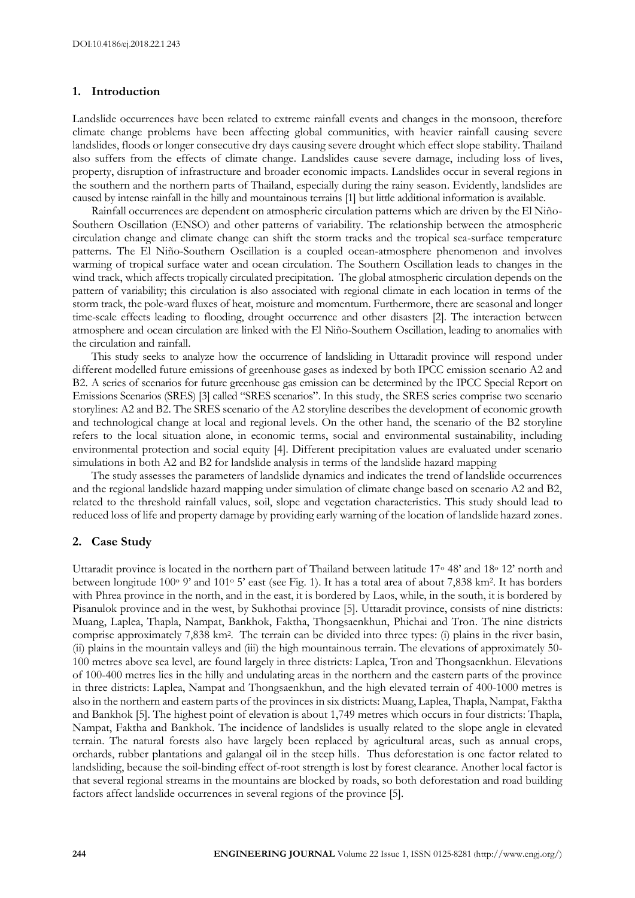# **1. Introduction**

Landslide occurrences have been related to extreme rainfall events and changes in the monsoon, therefore climate change problems have been affecting global communities, with heavier rainfall causing severe landslides, floods or longer consecutive dry days causing severe drought which effect slope stability. Thailand also suffers from the effects of climate change. Landslides cause severe damage, including loss of lives, property, disruption of infrastructure and broader economic impacts. Landslides occur in several regions in the southern and the northern parts of Thailand, especially during the rainy season. Evidently, landslides are caused by intense rainfall in the hilly and mountainous terrains [1] but little additional information is available.

Rainfall occurrences are dependent on atmospheric circulation patterns which are driven by the El Niño-Southern Oscillation (ENSO) and other patterns of variability. The relationship between the atmospheric circulation change and climate change can shift the storm tracks and the tropical sea-surface temperature patterns. The El Niño-Southern Oscillation is a coupled ocean-atmosphere phenomenon and involves warming of tropical surface water and ocean circulation. The Southern Oscillation leads to changes in the wind track, which affects tropically circulated precipitation. The global atmospheric circulation depends on the pattern of variability; this circulation is also associated with regional climate in each location in terms of the storm track, the pole-ward fluxes of heat, moisture and momentum. Furthermore, there are seasonal and longer time-scale effects leading to flooding, drought occurrence and other disasters [2]. The interaction between atmosphere and ocean circulation are linked with the El Niño-Southern Oscillation, leading to anomalies with the circulation and rainfall.

This study seeks to analyze how the occurrence of landsliding in Uttaradit province will respond under different modelled future emissions of greenhouse gases as indexed by both IPCC emission scenario A2 and B2. A series of scenarios for future greenhouse gas emission can be determined by the IPCC Special Report on Emissions Scenarios (SRES) [3] called "SRES scenarios". In this study, the SRES series comprise two scenario storylines: A2 and B2. The SRES scenario of the A2 storyline describes the development of economic growth and technological change at local and regional levels. On the other hand, the scenario of the B2 storyline refers to the local situation alone, in economic terms, social and environmental sustainability, including environmental protection and social equity [4]. Different precipitation values are evaluated under scenario simulations in both A2 and B2 for landslide analysis in terms of the landslide hazard mapping

The study assesses the parameters of landslide dynamics and indicates the trend of landslide occurrences and the regional landslide hazard mapping under simulation of climate change based on scenario A2 and B2, related to the threshold rainfall values, soil, slope and vegetation characteristics. This study should lead to reduced loss of life and property damage by providing early warning of the location of landslide hazard zones.

#### **2. Case Study**

Uttaradit province is located in the northern part of Thailand between latitude 17<sup>o</sup> 48' and 18<sup>o</sup> 12' north and between longitude 100° 9' and 101° 5' east (see Fig. 1). It has a total area of about 7,838 km<sup>2</sup>. It has borders with Phrea province in the north, and in the east, it is bordered by Laos, while, in the south, it is bordered by Pisanulok province and in the west, by Sukhothai province [5]. Uttaradit province, consists of nine districts: Muang, Laplea, Thapla, Nampat, Bankhok, Faktha, Thongsaenkhun, Phichai and Tron. The nine districts comprise approximately 7,838 km<sup>2</sup> . The terrain can be divided into three types: (i) plains in the river basin, (ii) plains in the mountain valleys and (iii) the high mountainous terrain. The elevations of approximately 50- 100 metres above sea level, are found largely in three districts: Laplea, Tron and Thongsaenkhun. Elevations of 100-400 metres lies in the hilly and undulating areas in the northern and the eastern parts of the province in three districts: Laplea, Nampat and Thongsaenkhun, and the high elevated terrain of 400-1000 metres is also in the northern and eastern parts of the provinces in six districts: Muang, Laplea, Thapla, Nampat, Faktha and Bankhok [5]. The highest point of elevation is about 1,749 metres which occurs in four districts: Thapla, Nampat, Faktha and Bankhok. The incidence of landslides is usually related to the slope angle in elevated terrain. The natural forests also have largely been replaced by agricultural areas, such as annual crops, orchards, rubber plantations and galangal oil in the steep hills. Thus deforestation is one factor related to landsliding, because the soil-binding effect of-root strength is lost by forest clearance. Another local factor is that several regional streams in the mountains are blocked by roads, so both deforestation and road building factors affect landslide occurrences in several regions of the province [5].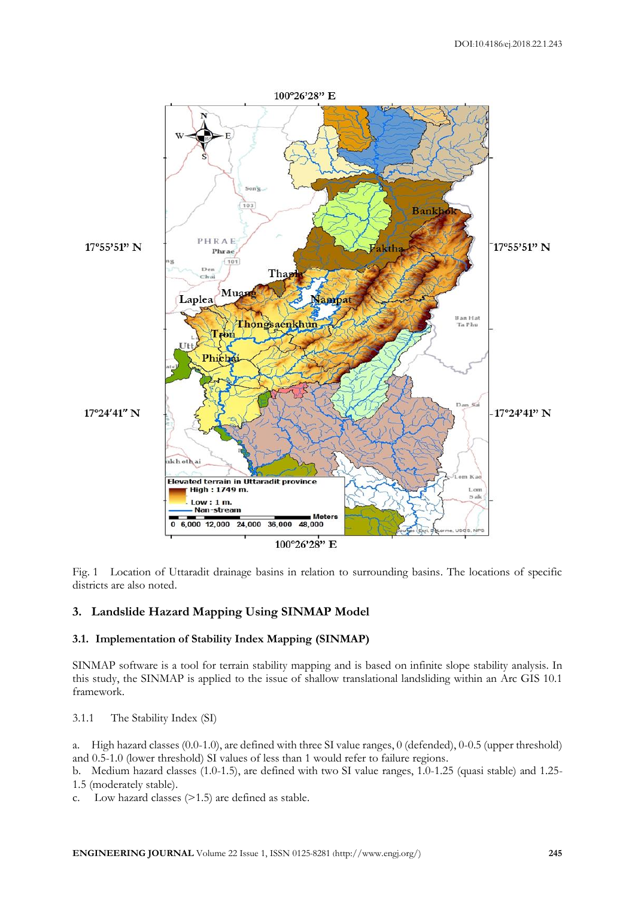

Fig. 1 Location of Uttaradit drainage basins in relation to surrounding basins. The locations of specific districts are also noted.

# **3. Landslide Hazard Mapping Using SINMAP Model**

# **3.1. Implementation of Stability Index Mapping (SINMAP)**

SINMAP software is a tool for terrain stability mapping and is based on infinite slope stability analysis. In this study, the SINMAP is applied to the issue of shallow translational landsliding within an Arc GIS 10.1 framework.

3.1.1 The Stability Index (SI)

a. High hazard classes (0.0-1.0), are defined with three SI value ranges, 0 (defended), 0-0.5 (upper threshold) and 0.5-1.0 (lower threshold) SI values of less than 1 would refer to failure regions.

b. Medium hazard classes (1.0-1.5), are defined with two SI value ranges, 1.0-1.25 (quasi stable) and 1.25- 1.5 (moderately stable).

c. Low hazard classes (>1.5) are defined as stable.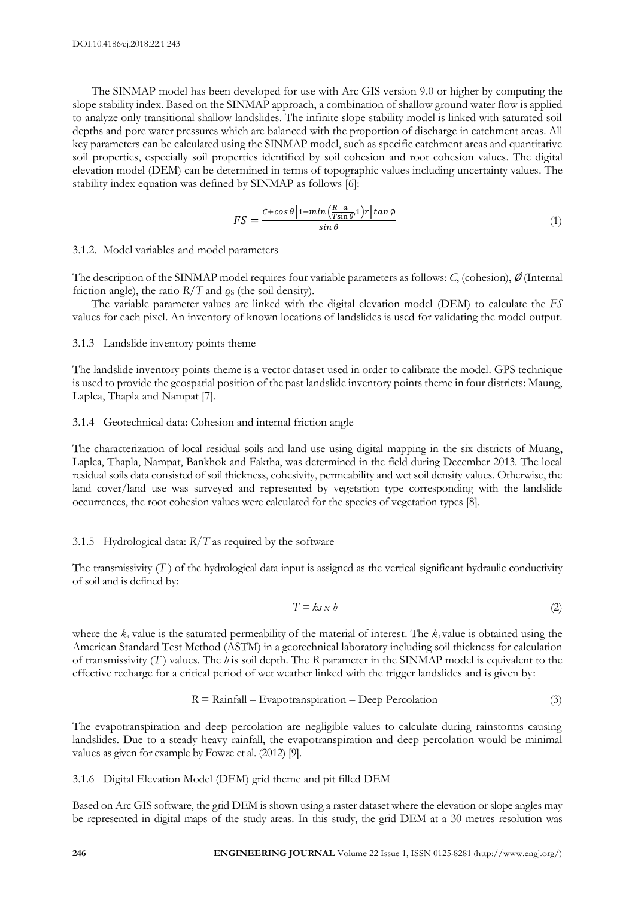The SINMAP model has been developed for use with Arc GIS version 9.0 or higher by computing the slope stability index. Based on the SINMAP approach, a combination of shallow ground water flow is applied to analyze only transitional shallow landslides. The infinite slope stability model is linked with saturated soil depths and pore water pressures which are balanced with the proportion of discharge in catchment areas. All key parameters can be calculated using the SINMAP model, such as specific catchment areas and quantitative soil properties, especially soil properties identified by soil cohesion and root cohesion values. The digital elevation model (DEM) can be determined in terms of topographic values including uncertainty values. The stability index equation was defined by SINMAP as follows [6]:

$$
FS = \frac{C + \cos\theta \left[1 - \min\left(\frac{R}{T\sin\theta}, 1\right)r\right] \tan\phi}{\sin\theta} \tag{1}
$$

3.1.2. Model variables and model parameters

The description of the SINMAP model requires four variable parameters as follows: *C*, (cohesion), ∅ (Internal friction angle), the ratio  $R/T$  and  $\rho_s$  (the soil density).

The variable parameter values are linked with the digital elevation model (DEM) to calculate the *FS* values for each pixel. An inventory of known locations of landslides is used for validating the model output.

# 3.1.3 Landslide inventory points theme

The landslide inventory points theme is a vector dataset used in order to calibrate the model. GPS technique is used to provide the geospatial position of the past landslide inventory points theme in four districts: Maung, Laplea, Thapla and Nampat [7].

#### 3.1.4 Geotechnical data: Cohesion and internal friction angle

The characterization of local residual soils and land use using digital mapping in the six districts of Muang, Laplea, Thapla, Nampat, Bankhok and Faktha, was determined in the field during December 2013. The local residual soils data consisted of soil thickness, cohesivity, permeability and wet soil density values. Otherwise, the land cover/land use was surveyed and represented by vegetation type corresponding with the landslide occurrences, the root cohesion values were calculated for the species of vegetation types [8].

# 3.1.5 Hydrological data: *R/T* as required by the software

The transmissivity  $(T)$  of the hydrological data input is assigned as the vertical significant hydraulic conductivity of soil and is defined by:

$$
T = k s \times b \tag{2}
$$

where the *k<sup>s</sup>* value is the saturated permeability of the material of interest. The *k<sup>s</sup>* value is obtained using the American Standard Test Method (ASTM) in a geotechnical laboratory including soil thickness for calculation of transmissivity (*T* ) values. The *h* is soil depth. The *R* parameter in the SINMAP model is equivalent to the effective recharge for a critical period of wet weather linked with the trigger landslides and is given by:

$$
R = \text{Rainfall} - \text{Evapor} \cdot \text{Par} \cdot \text{Evapor} \cdot \text{Precolation} \tag{3}
$$

The evapotranspiration and deep percolation are negligible values to calculate during rainstorms causing landslides. Due to a steady heavy rainfall, the evapotranspiration and deep percolation would be minimal values as given for example by Fowze et al. (2012) [9].

3.1.6 Digital Elevation Model (DEM) grid theme and pit filled DEM

Based on Arc GIS software, the grid DEM is shown using a raster dataset where the elevation or slope angles may be represented in digital maps of the study areas. In this study, the grid DEM at a 30 metres resolution was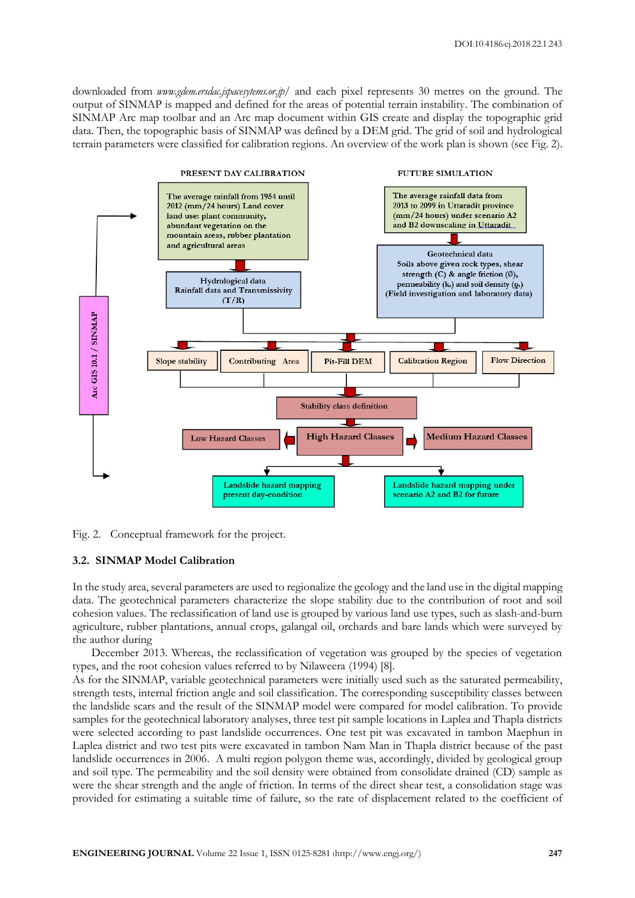downloaded from *www.gdem.ersdac.jspacesytems.or.jp/* and each pixel represents 30 metres on the ground. The output of SINMAP is mapped and defined for the areas of potential terrain instability. The combination of SINMAP Arc map toolbar and an Arc map document within GIS create and display the topographic grid data. Then, the topographic basis of SINMAP was defined by a DEM grid. The grid of soil and hydrological terrain parameters were classified for calibration regions. An overview of the work plan is shown (see Fig. 2).





# **3.2. SINMAP Model Calibration**

In the study area, several parameters are used to regionalize the geology and the land use in the digital mapping data. The geotechnical parameters characterize the slope stability due to the contribution of root and soil cohesion values. The reclassification of land use is grouped by various land use types, such as slash-and-burn agriculture, rubber plantations, annual crops, galangal oil, orchards and bare lands which were surveyed by the author during

December 2013. Whereas, the reclassification of vegetation was grouped by the species of vegetation types, and the root cohesion values referred to by Nilaweera (1994) [8].

As for the SINMAP, variable geotechnical parameters were initially used such as the saturated permeability, strength tests, internal friction angle and soil classification. The corresponding susceptibility classes between the landslide scars and the result of the SINMAP model were compared for model calibration. To provide samples for the geotechnical laboratory analyses, three test pit sample locations in Laplea and Thapla districts were selected according to past landslide occurrences. One test pit was excavated in tambon Maephun in Laplea district and two test pits were excavated in tambon Nam Man in Thapla district because of the past landslide occurrences in 2006. A multi region polygon theme was, accordingly, divided by geological group and soil type. The permeability and the soil density were obtained from consolidate drained (CD) sample as were the shear strength and the angle of friction. In terms of the direct shear test, a consolidation stage was provided for estimating a suitable time of failure, so the rate of displacement related to the coefficient of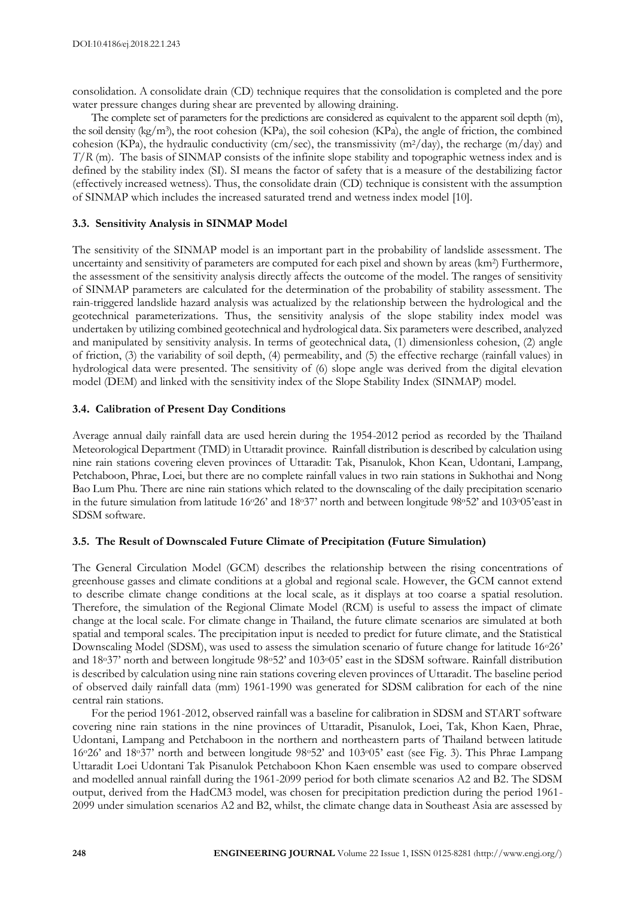consolidation. A consolidate drain (CD) technique requires that the consolidation is completed and the pore water pressure changes during shear are prevented by allowing draining.

The complete set of parameters for the predictions are considered as equivalent to the apparent soil depth (m), the soil density (kg/m<sup>3</sup>), the root cohesion (KPa), the soil cohesion (KPa), the angle of friction, the combined cohesion (KPa), the hydraulic conductivity (cm/sec), the transmissivity (m<sup>2</sup>/day), the recharge (m/day) and *T*/*R* (m). The basis of SINMAP consists of the infinite slope stability and topographic wetness index and is defined by the stability index (SI). SI means the factor of safety that is a measure of the destabilizing factor (effectively increased wetness). Thus, the consolidate drain (CD) technique is consistent with the assumption of SINMAP which includes the increased saturated trend and wetness index model [10].

# **3.3. Sensitivity Analysis in SINMAP Model**

The sensitivity of the SINMAP model is an important part in the probability of landslide assessment. The uncertainty and sensitivity of parameters are computed for each pixel and shown by areas (km<sup>2</sup>) Furthermore, the assessment of the sensitivity analysis directly affects the outcome of the model. The ranges of sensitivity of SINMAP parameters are calculated for the determination of the probability of stability assessment. The rain-triggered landslide hazard analysis was actualized by the relationship between the hydrological and the geotechnical parameterizations. Thus, the sensitivity analysis of the slope stability index model was undertaken by utilizing combined geotechnical and hydrological data. Six parameters were described, analyzed and manipulated by sensitivity analysis. In terms of geotechnical data, (1) dimensionless cohesion, (2) angle of friction, (3) the variability of soil depth, (4) permeability, and (5) the effective recharge (rainfall values) in hydrological data were presented. The sensitivity of (6) slope angle was derived from the digital elevation model (DEM) and linked with the sensitivity index of the Slope Stability Index (SINMAP) model.

# **3.4. Calibration of Present Day Conditions**

Average annual daily rainfall data are used herein during the 1954-2012 period as recorded by the Thailand Meteorological Department (TMD) in Uttaradit province. Rainfall distribution is described by calculation using nine rain stations covering eleven provinces of Uttaradit: Tak, Pisanulok, Khon Kean, Udontani, Lampang, Petchaboon, Phrae, Loei, but there are no complete rainfall values in two rain stations in Sukhothai and Nong Bao Lum Phu. There are nine rain stations which related to the downscaling of the daily precipitation scenario in the future simulation from latitude 16°26' and 18°37' north and between longitude 98°52' and 103°05'east in SDSM software.

# **3.5. The Result of Downscaled Future Climate of Precipitation (Future Simulation)**

The General Circulation Model (GCM) describes the relationship between the rising concentrations of greenhouse gasses and climate conditions at a global and regional scale. However, the GCM cannot extend to describe climate change conditions at the local scale, as it displays at too coarse a spatial resolution. Therefore, the simulation of the Regional Climate Model (RCM) is useful to assess the impact of climate change at the local scale. For climate change in Thailand, the future climate scenarios are simulated at both spatial and temporal scales. The precipitation input is needed to predict for future climate, and the Statistical Downscaling Model (SDSM), was used to assess the simulation scenario of future change for latitude 16°26' and 18o37' north and between longitude 98o52' and 103o05' east in the SDSM software. Rainfall distribution is described by calculation using nine rain stations covering eleven provinces of Uttaradit. The baseline period of observed daily rainfall data (mm) 1961-1990 was generated for SDSM calibration for each of the nine central rain stations.

For the period 1961-2012, observed rainfall was a baseline for calibration in SDSM and START software covering nine rain stations in the nine provinces of Uttaradit, Pisanulok, Loei, Tak, Khon Kaen, Phrae, Udontani, Lampang and Petchaboon in the northern and northeastern parts of Thailand between latitude 16o26' and 18o37' north and between longitude 98o52' and 103o05' east (see Fig. 3). This Phrae Lampang Uttaradit Loei Udontani Tak Pisanulok Petchaboon Khon Kaen ensemble was used to compare observed and modelled annual rainfall during the 1961-2099 period for both climate scenarios A2 and B2. The SDSM output, derived from the HadCM3 model, was chosen for precipitation prediction during the period 1961- 2099 under simulation scenarios A2 and B2, whilst, the climate change data in Southeast Asia are assessed by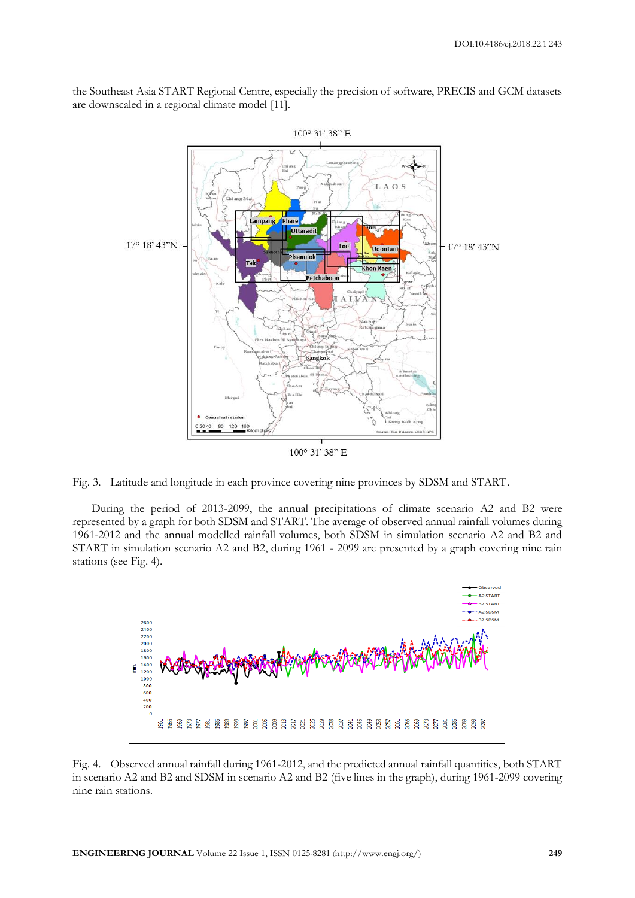the Southeast Asia START Regional Centre, especially the precision of software, PRECIS and GCM datasets are downscaled in a regional climate model [11].



Fig. 3. Latitude and longitude in each province covering nine provinces by SDSM and START.

During the period of 2013-2099, the annual precipitations of climate scenario A2 and B2 were represented by a graph for both SDSM and START. The average of observed annual rainfall volumes during 1961-2012 and the annual modelled rainfall volumes, both SDSM in simulation scenario A2 and B2 and START in simulation scenario A2 and B2, during 1961 - 2099 are presented by a graph covering nine rain stations (see Fig. 4).



Fig. 4. Observed annual rainfall during 1961-2012, and the predicted annual rainfall quantities, both START in scenario A2 and B2 and SDSM in scenario A2 and B2 (five lines in the graph), during 1961-2099 covering nine rain stations.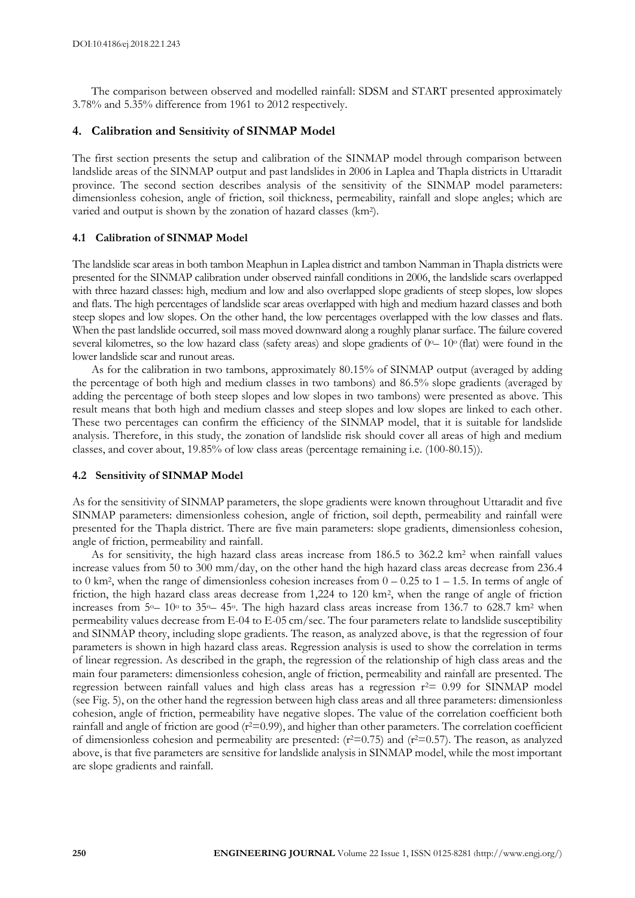The comparison between observed and modelled rainfall: SDSM and START presented approximately 3.78% and 5.35% difference from 1961 to 2012 respectively.

# **4. Calibration and Sensitivity of SINMAP Model**

The first section presents the setup and calibration of the SINMAP model through comparison between landslide areas of the SINMAP output and past landslides in 2006 in Laplea and Thapla districts in Uttaradit province. The second section describes analysis of the sensitivity of the SINMAP model parameters: dimensionless cohesion, angle of friction, soil thickness, permeability, rainfall and slope angles; which are varied and output is shown by the zonation of hazard classes (km<sup>2</sup> ).

#### **4.1 Calibration of SINMAP Model**

The landslide scar areas in both tambon Meaphun in Laplea district and tambon Namman in Thapla districts were presented for the SINMAP calibration under observed rainfall conditions in 2006, the landslide scars overlapped with three hazard classes: high, medium and low and also overlapped slope gradients of steep slopes, low slopes and flats. The high percentages of landslide scar areas overlapped with high and medium hazard classes and both steep slopes and low slopes. On the other hand, the low percentages overlapped with the low classes and flats. When the past landslide occurred, soil mass moved downward along a roughly planar surface. The failure covered several kilometres, so the low hazard class (safety areas) and slope gradients of 0<sup>o</sup>– 10<sup>o</sup> (flat) were found in the lower landslide scar and runout areas.

As for the calibration in two tambons, approximately 80.15% of SINMAP output (averaged by adding the percentage of both high and medium classes in two tambons) and 86.5% slope gradients (averaged by adding the percentage of both steep slopes and low slopes in two tambons) were presented as above. This result means that both high and medium classes and steep slopes and low slopes are linked to each other. These two percentages can confirm the efficiency of the SINMAP model, that it is suitable for landslide analysis. Therefore, in this study, the zonation of landslide risk should cover all areas of high and medium classes, and cover about, 19.85% of low class areas (percentage remaining i.e. (100-80.15)).

#### **4.2 Sensitivity of SINMAP Model**

As for the sensitivity of SINMAP parameters, the slope gradients were known throughout Uttaradit and five SINMAP parameters: dimensionless cohesion, angle of friction, soil depth, permeability and rainfall were presented for the Thapla district. There are five main parameters: slope gradients, dimensionless cohesion, angle of friction, permeability and rainfall.

As for sensitivity, the high hazard class areas increase from 186.5 to 362.2 km<sup>2</sup> when rainfall values increase values from 50 to 300 mm/day, on the other hand the high hazard class areas decrease from 236.4 to 0 km<sup>2</sup> , when the range of dimensionless cohesion increases from 0 – 0.25 to 1 – 1.5. In terms of angle of friction, the high hazard class areas decrease from 1,224 to 120 km<sup>2</sup>, when the range of angle of friction increases from  $5^{\circ}$  –  $10^{\circ}$  to  $35^{\circ}$  –  $45^{\circ}$ . The high hazard class areas increase from 136.7 to 628.7 km<sup>2</sup> when permeability values decrease from E-04 to E-05 cm/sec. The four parameters relate to landslide susceptibility and SINMAP theory, including slope gradients. The reason, as analyzed above, is that the regression of four parameters is shown in high hazard class areas. Regression analysis is used to show the correlation in terms of linear regression. As described in the graph, the regression of the relationship of high class areas and the main four parameters: dimensionless cohesion, angle of friction, permeability and rainfall are presented. The regression between rainfall values and high class areas has a regression  $r^2 = 0.99$  for SINMAP model (see Fig. 5), on the other hand the regression between high class areas and all three parameters: dimensionless cohesion, angle of friction, permeability have negative slopes. The value of the correlation coefficient both rainfall and angle of friction are good (r<sup>2=0.99</sup>), and higher than other parameters. The correlation coefficient of dimensionless cohesion and permeability are presented:  $(r^2=0.75)$  and  $(r^2=0.57)$ . The reason, as analyzed above, is that five parameters are sensitive for landslide analysis in SINMAP model, while the most important are slope gradients and rainfall.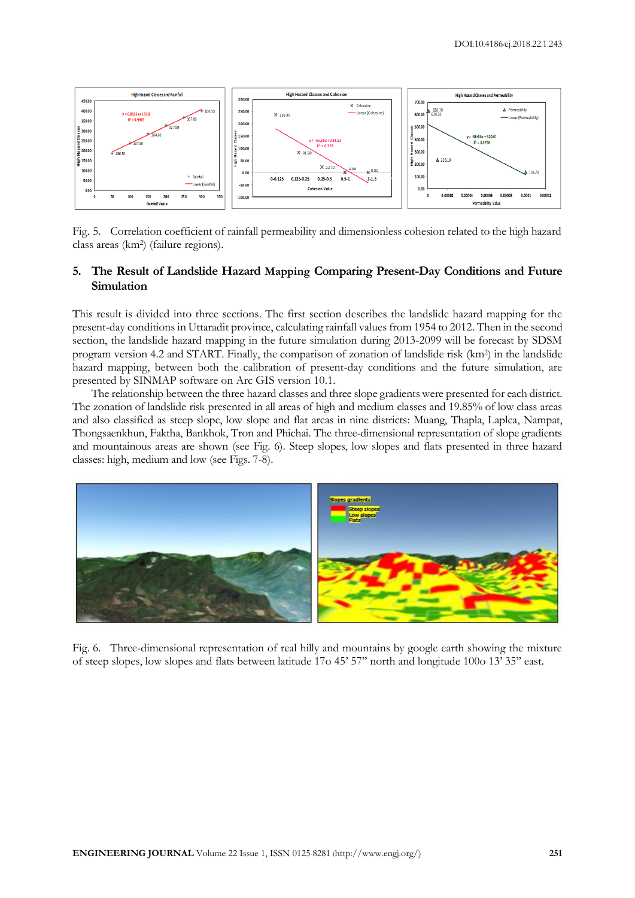

Fig. 5. Correlation coefficient of rainfall permeability and dimensionless cohesion related to the high hazard class areas (km<sup>2</sup> ) (failure regions).

# **5. The Result of Landslide Hazard Mapping Comparing Present-Day Conditions and Future Simulation**

This result is divided into three sections. The first section describes the landslide hazard mapping for the present-day conditions in Uttaradit province, calculating rainfall values from 1954 to 2012. Then in the second section, the landslide hazard mapping in the future simulation during 2013-2099 will be forecast by SDSM program version 4.2 and START. Finally, the comparison of zonation of landslide risk (km<sup>2</sup> ) in the landslide hazard mapping, between both the calibration of present-day conditions and the future simulation, are presented by SINMAP software on Arc GIS version 10.1.

The relationship between the three hazard classes and three slope gradients were presented for each district. The zonation of landslide risk presented in all areas of high and medium classes and 19.85% of low class areas and also classified as steep slope, low slope and flat areas in nine districts: Muang, Thapla, Laplea, Nampat, Thongsaenkhun, Faktha, Bankhok, Tron and Phichai. The three-dimensional representation of slope gradients and mountainous areas are shown (see Fig. 6). Steep slopes, low slopes and flats presented in three hazard classes: high, medium and low (see Figs. 7-8).



Fig. 6. Three-dimensional representation of real hilly and mountains by google earth showing the mixture of steep slopes, low slopes and flats between latitude 17o 45' 57'' north and longitude 100o 13' 35'' east.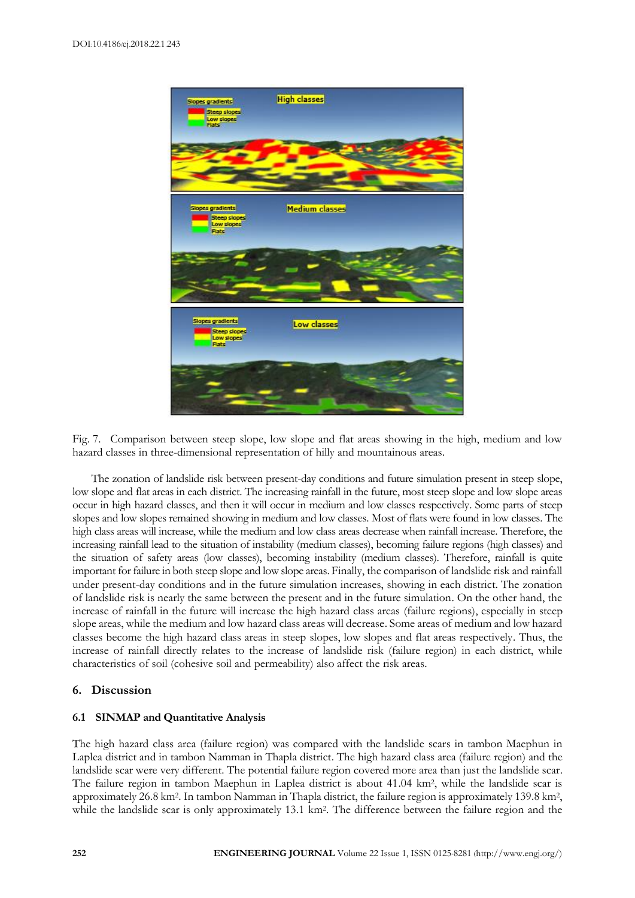

Fig. 7. Comparison between steep slope, low slope and flat areas showing in the high, medium and low hazard classes in three-dimensional representation of hilly and mountainous areas.

The zonation of landslide risk between present-day conditions and future simulation present in steep slope, low slope and flat areas in each district. The increasing rainfall in the future, most steep slope and low slope areas occur in high hazard classes, and then it will occur in medium and low classes respectively. Some parts of steep slopes and low slopes remained showing in medium and low classes. Most of flats were found in low classes. The high class areas will increase, while the medium and low class areas decrease when rainfall increase. Therefore, the increasing rainfall lead to the situation of instability (medium classes), becoming failure regions (high classes) and the situation of safety areas (low classes), becoming instability (medium classes). Therefore, rainfall is quite important for failure in both steep slope and low slope areas. Finally, the comparison of landslide risk and rainfall under present-day conditions and in the future simulation increases, showing in each district. The zonation of landslide risk is nearly the same between the present and in the future simulation. On the other hand, the increase of rainfall in the future will increase the high hazard class areas (failure regions), especially in steep slope areas, while the medium and low hazard class areas will decrease. Some areas of medium and low hazard classes become the high hazard class areas in steep slopes, low slopes and flat areas respectively. Thus, the increase of rainfall directly relates to the increase of landslide risk (failure region) in each district, while characteristics of soil (cohesive soil and permeability) also affect the risk areas.

# **6. Discussion**

# **6.1 SINMAP and Quantitative Analysis**

The high hazard class area (failure region) was compared with the landslide scars in tambon Maephun in Laplea district and in tambon Namman in Thapla district. The high hazard class area (failure region) and the landslide scar were very different. The potential failure region covered more area than just the landslide scar. The failure region in tambon Maephun in Laplea district is about 41.04 km<sup>2</sup> , while the landslide scar is approximately 26.8 km<sup>2</sup>. In tambon Namman in Thapla district, the failure region is approximately 139.8 km<sup>2</sup>, while the landslide scar is only approximately 13.1 km<sup>2</sup>. The difference between the failure region and the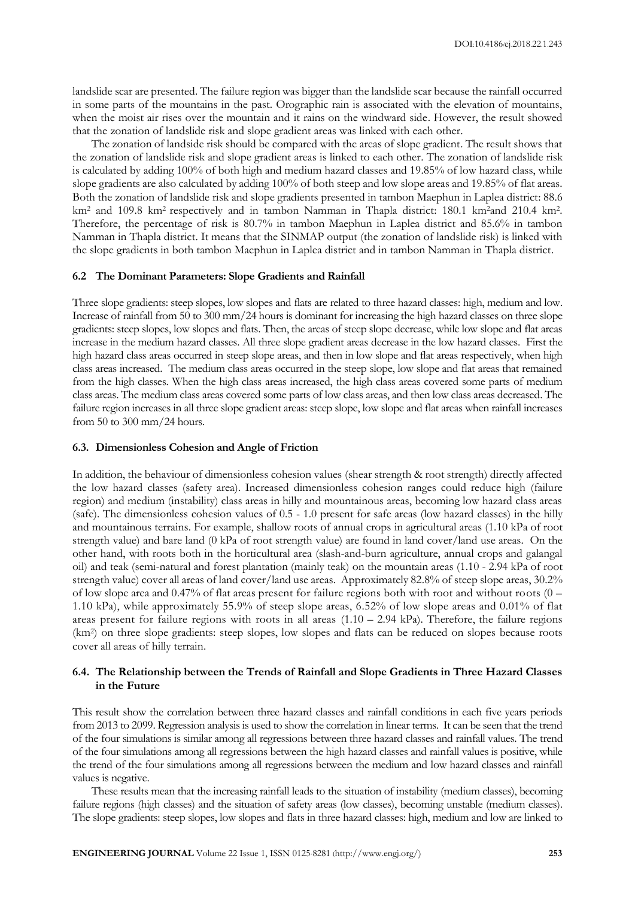landslide scar are presented. The failure region was bigger than the landslide scar because the rainfall occurred in some parts of the mountains in the past. Orographic rain is associated with the elevation of mountains, when the moist air rises over the mountain and it rains on the windward side. However, the result showed that the zonation of landslide risk and slope gradient areas was linked with each other.

The zonation of landside risk should be compared with the areas of slope gradient. The result shows that the zonation of landslide risk and slope gradient areas is linked to each other. The zonation of landslide risk is calculated by adding 100% of both high and medium hazard classes and 19.85% of low hazard class, while slope gradients are also calculated by adding 100% of both steep and low slope areas and 19.85% of flat areas. Both the zonation of landslide risk and slope gradients presented in tambon Maephun in Laplea district: 88.6 km<sup>2</sup> and 109.8 km<sup>2</sup> respectively and in tambon Namman in Thapla district: 180.1 km<sup>2</sup>and 210.4 km<sup>2</sup>. Therefore, the percentage of risk is 80.7% in tambon Maephun in Laplea district and 85.6% in tambon Namman in Thapla district. It means that the SINMAP output (the zonation of landslide risk) is linked with the slope gradients in both tambon Maephun in Laplea district and in tambon Namman in Thapla district.

# **6.2 The Dominant Parameters: Slope Gradients and Rainfall**

Three slope gradients: steep slopes, low slopes and flats are related to three hazard classes: high, medium and low. Increase of rainfall from 50 to 300 mm/24 hours is dominant for increasing the high hazard classes on three slope gradients: steep slopes, low slopes and flats. Then, the areas of steep slope decrease, while low slope and flat areas increase in the medium hazard classes. All three slope gradient areas decrease in the low hazard classes. First the high hazard class areas occurred in steep slope areas, and then in low slope and flat areas respectively, when high class areas increased. The medium class areas occurred in the steep slope, low slope and flat areas that remained from the high classes. When the high class areas increased, the high class areas covered some parts of medium class areas. The medium class areas covered some parts of low class areas, and then low class areas decreased. The failure region increases in all three slope gradient areas: steep slope, low slope and flat areas when rainfall increases from 50 to 300 mm/24 hours.

# **6.3. Dimensionless Cohesion and Angle of Friction**

In addition, the behaviour of dimensionless cohesion values (shear strength & root strength) directly affected the low hazard classes (safety area). Increased dimensionless cohesion ranges could reduce high (failure region) and medium (instability) class areas in hilly and mountainous areas, becoming low hazard class areas (safe). The dimensionless cohesion values of 0.5 - 1.0 present for safe areas (low hazard classes) in the hilly and mountainous terrains. For example, shallow roots of annual crops in agricultural areas (1.10 kPa of root strength value) and bare land (0 kPa of root strength value) are found in land cover/land use areas. On the other hand, with roots both in the horticultural area (slash-and-burn agriculture, annual crops and galangal oil) and teak (semi-natural and forest plantation (mainly teak) on the mountain areas (1.10 - 2.94 kPa of root strength value) cover all areas of land cover/land use areas. Approximately 82.8% of steep slope areas, 30.2% of low slope area and 0.47% of flat areas present for failure regions both with root and without roots (0 – 1.10 kPa), while approximately 55.9% of steep slope areas, 6.52% of low slope areas and 0.01% of flat areas present for failure regions with roots in all areas  $(1.10 - 2.94 \text{ kPa})$ . Therefore, the failure regions (km<sup>2</sup> ) on three slope gradients: steep slopes, low slopes and flats can be reduced on slopes because roots cover all areas of hilly terrain.

# **6.4. The Relationship between the Trends of Rainfall and Slope Gradients in Three Hazard Classes in the Future**

This result show the correlation between three hazard classes and rainfall conditions in each five years periods from 2013 to 2099. Regression analysis is used to show the correlation in linear terms. It can be seen that the trend of the four simulations is similar among all regressions between three hazard classes and rainfall values. The trend of the four simulations among all regressions between the high hazard classes and rainfall values is positive, while the trend of the four simulations among all regressions between the medium and low hazard classes and rainfall values is negative.

These results mean that the increasing rainfall leads to the situation of instability (medium classes), becoming failure regions (high classes) and the situation of safety areas (low classes), becoming unstable (medium classes). The slope gradients: steep slopes, low slopes and flats in three hazard classes: high, medium and low are linked to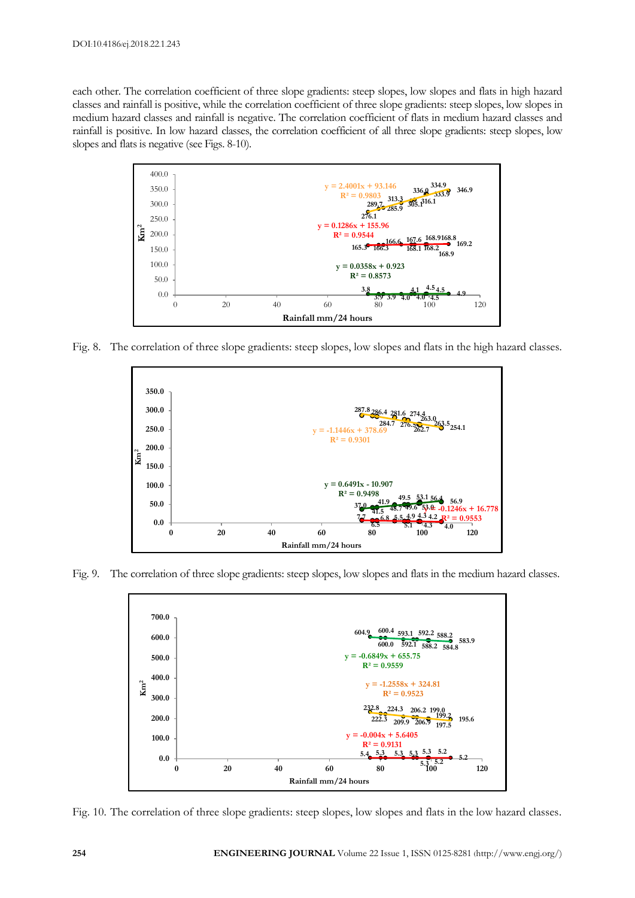each other. The correlation coefficient of three slope gradients: steep slopes, low slopes and flats in high hazard classes and rainfall is positive, while the correlation coefficient of three slope gradients: steep slopes, low slopes in medium hazard classes and rainfall is negative. The correlation coefficient of flats in medium hazard classes and rainfall is positive. In low hazard classes, the correlation coefficient of all three slope gradients: steep slopes, low slopes and flats is negative (see Figs. 8-10).



Fig. 8. The correlation of three slope gradients: steep slopes, low slopes and flats in the high hazard classes.



Fig. 9. The correlation of three slope gradients: steep slopes, low slopes and flats in the medium hazard classes.



Fig. 10. The correlation of three slope gradients: steep slopes, low slopes and flats in the low hazard classes.